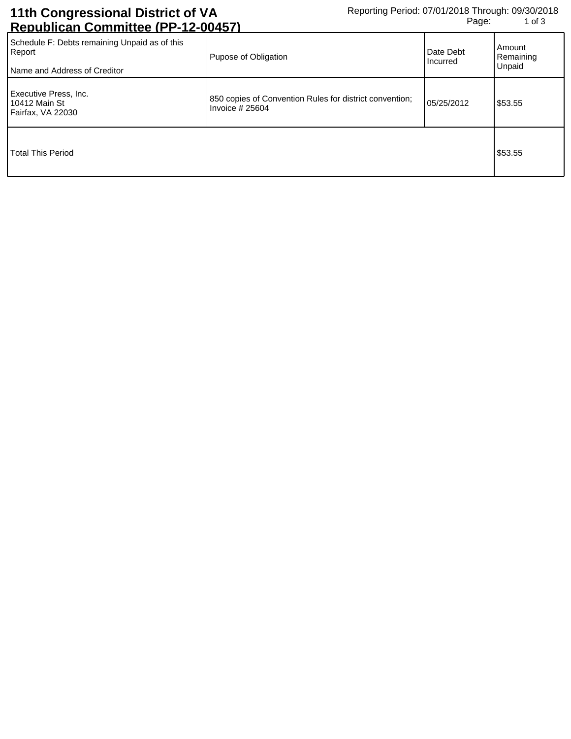## **11th Congressional District of VA Republican Committee (PP-12-00457)**

| Schedule F: Debts remaining Unpaid as of this<br>Report<br>Name and Address of Creditor | Pupose of Obligation                                                        | Date Debt<br>Incurred | Amount<br>Remaining<br>Unpaid |
|-----------------------------------------------------------------------------------------|-----------------------------------------------------------------------------|-----------------------|-------------------------------|
| Executive Press, Inc.<br>10412 Main St<br>Fairfax, VA 22030                             | 850 copies of Convention Rules for district convention;<br>Invoice $#25604$ | 05/25/2012            | \$53.55                       |
| <b>Total This Period</b>                                                                |                                                                             |                       | \$53.55                       |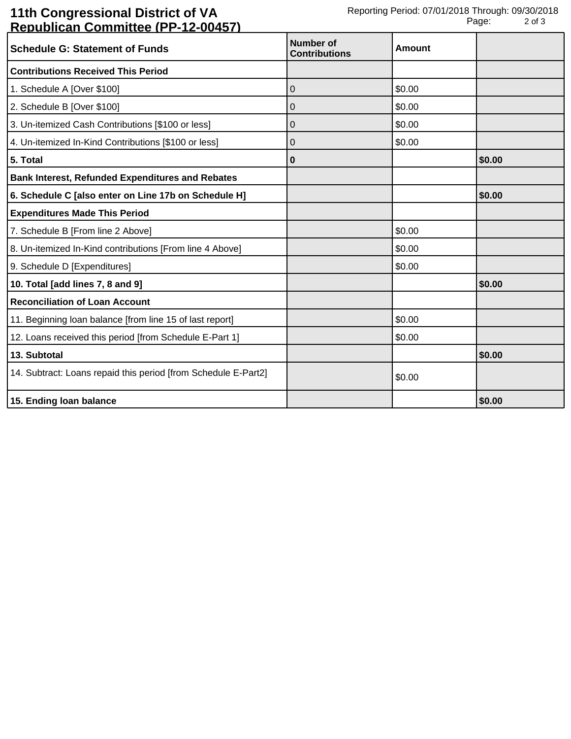## **11th Congressional District of VA Republican Committee (PP-12-00457)**

| <b>Schedule G: Statement of Funds</b>                          | <b>Number of</b>     | Amount |        |
|----------------------------------------------------------------|----------------------|--------|--------|
|                                                                | <b>Contributions</b> |        |        |
| <b>Contributions Received This Period</b>                      |                      |        |        |
| 1. Schedule A [Over \$100]                                     | 0                    | \$0.00 |        |
| 2. Schedule B [Over \$100]                                     | 0                    | \$0.00 |        |
| 3. Un-itemized Cash Contributions [\$100 or less]              | 0                    | \$0.00 |        |
| 4. Un-itemized In-Kind Contributions [\$100 or less]           | 0                    | \$0.00 |        |
| 5. Total                                                       | 0                    |        | \$0.00 |
| <b>Bank Interest, Refunded Expenditures and Rebates</b>        |                      |        |        |
| 6. Schedule C [also enter on Line 17b on Schedule H]           |                      |        | \$0.00 |
| <b>Expenditures Made This Period</b>                           |                      |        |        |
| 7. Schedule B [From line 2 Above]                              |                      | \$0.00 |        |
| 8. Un-itemized In-Kind contributions [From line 4 Above]       |                      | \$0.00 |        |
| 9. Schedule D [Expenditures]                                   |                      | \$0.00 |        |
| 10. Total [add lines 7, 8 and 9]                               |                      |        | \$0.00 |
| <b>Reconciliation of Loan Account</b>                          |                      |        |        |
| 11. Beginning loan balance [from line 15 of last report]       |                      | \$0.00 |        |
| 12. Loans received this period [from Schedule E-Part 1]        |                      | \$0.00 |        |
| 13. Subtotal                                                   |                      |        | \$0.00 |
| 14. Subtract: Loans repaid this period [from Schedule E-Part2] |                      | \$0.00 |        |
| 15. Ending loan balance                                        |                      |        | \$0.00 |